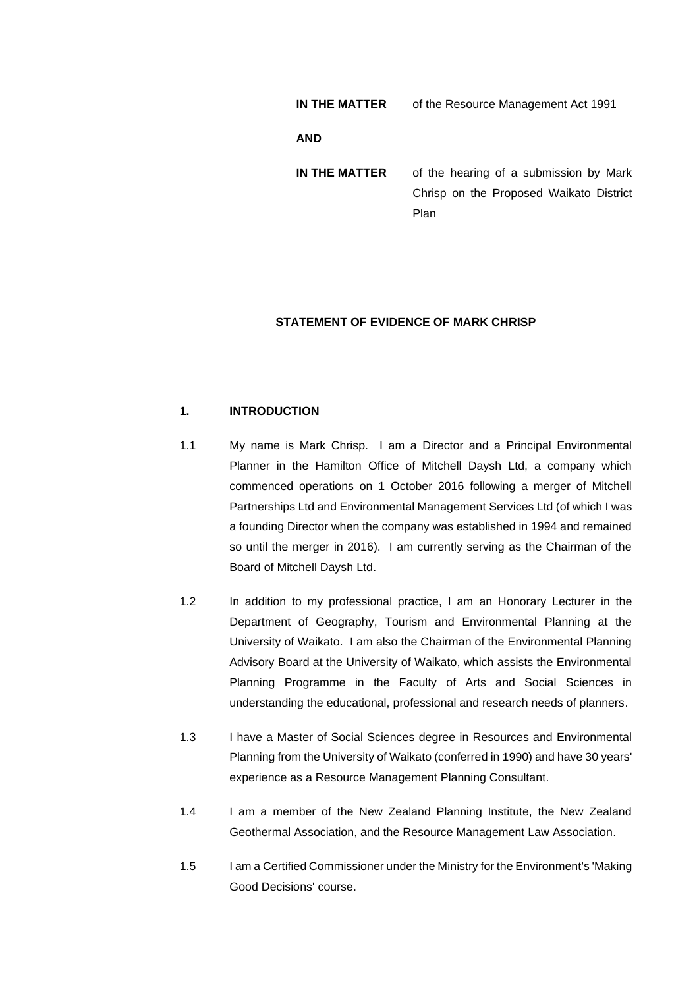| IN THE MATTER | of the Resource Management Act 1991                                               |
|---------------|-----------------------------------------------------------------------------------|
| <b>AND</b>    |                                                                                   |
| IN THE MATTER | of the hearing of a submission by Mark<br>Chrisp on the Proposed Waikato District |
|               | Plan                                                                              |

## **STATEMENT OF EVIDENCE OF MARK CHRISP**

# **1. INTRODUCTION**

- 1.1 My name is Mark Chrisp. I am a Director and a Principal Environmental Planner in the Hamilton Office of Mitchell Daysh Ltd, a company which commenced operations on 1 October 2016 following a merger of Mitchell Partnerships Ltd and Environmental Management Services Ltd (of which I was a founding Director when the company was established in 1994 and remained so until the merger in 2016). I am currently serving as the Chairman of the Board of Mitchell Daysh Ltd.
- 1.2 In addition to my professional practice, I am an Honorary Lecturer in the Department of Geography, Tourism and Environmental Planning at the University of Waikato. I am also the Chairman of the Environmental Planning Advisory Board at the University of Waikato, which assists the Environmental Planning Programme in the Faculty of Arts and Social Sciences in understanding the educational, professional and research needs of planners.
- 1.3 I have a Master of Social Sciences degree in Resources and Environmental Planning from the University of Waikato (conferred in 1990) and have 30 years' experience as a Resource Management Planning Consultant.
- 1.4 I am a member of the New Zealand Planning Institute, the New Zealand Geothermal Association, and the Resource Management Law Association.
- 1.5 I am a Certified Commissioner under the Ministry for the Environment's 'Making Good Decisions' course.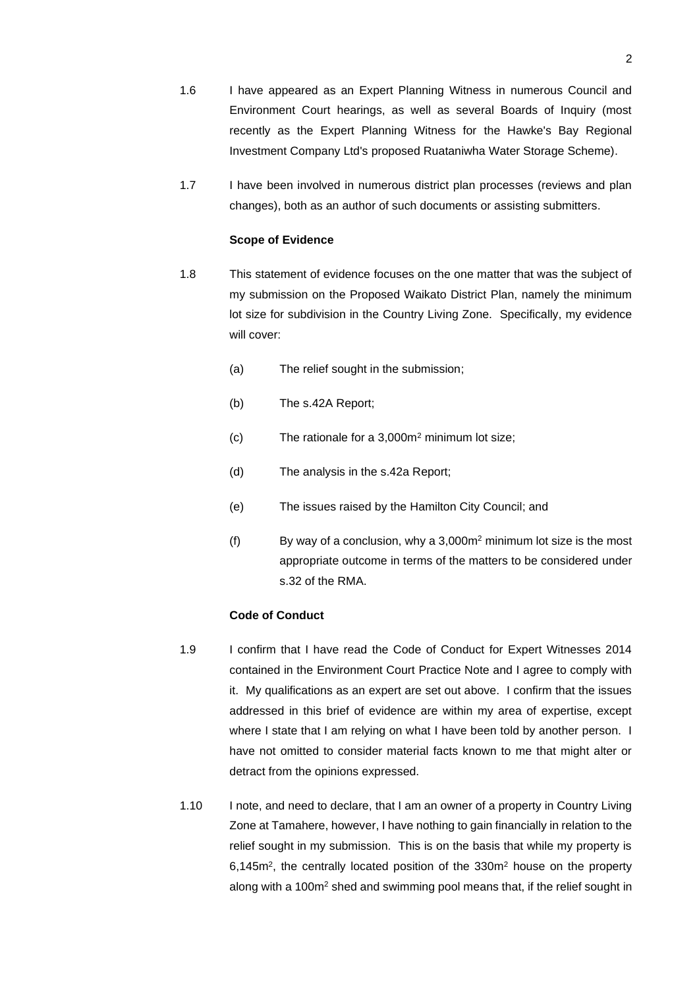- 1.6 I have appeared as an Expert Planning Witness in numerous Council and Environment Court hearings, as well as several Boards of Inquiry (most recently as the Expert Planning Witness for the Hawke's Bay Regional Investment Company Ltd's proposed Ruataniwha Water Storage Scheme).
- 1.7 I have been involved in numerous district plan processes (reviews and plan changes), both as an author of such documents or assisting submitters.

### **Scope of Evidence**

- 1.8 This statement of evidence focuses on the one matter that was the subject of my submission on the Proposed Waikato District Plan, namely the minimum lot size for subdivision in the Country Living Zone. Specifically, my evidence will cover:
	- (a) The relief sought in the submission;
	- (b) The s.42A Report;
	- (c) The rationale for a 3,000m<sup>2</sup> minimum lot size;
	- (d) The analysis in the s.42a Report;
	- (e) The issues raised by the Hamilton City Council; and
	- (f) By way of a conclusion, why a  $3,000m^2$  minimum lot size is the most appropriate outcome in terms of the matters to be considered under s.32 of the RMA.

## **Code of Conduct**

- 1.9 I confirm that I have read the Code of Conduct for Expert Witnesses 2014 contained in the Environment Court Practice Note and I agree to comply with it. My qualifications as an expert are set out above. I confirm that the issues addressed in this brief of evidence are within my area of expertise, except where I state that I am relying on what I have been told by another person. I have not omitted to consider material facts known to me that might alter or detract from the opinions expressed.
- 1.10 I note, and need to declare, that I am an owner of a property in Country Living Zone at Tamahere, however, I have nothing to gain financially in relation to the relief sought in my submission. This is on the basis that while my property is 6,145m<sup>2</sup>, the centrally located position of the 330m<sup>2</sup> house on the property along with a 100m<sup>2</sup> shed and swimming pool means that, if the relief sought in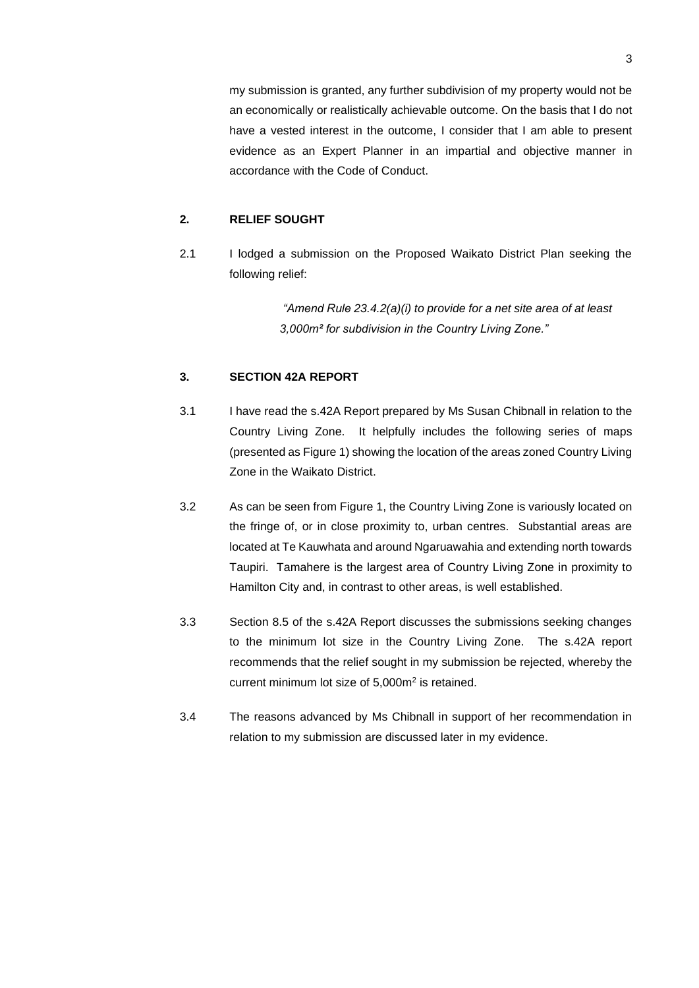my submission is granted, any further subdivision of my property would not be an economically or realistically achievable outcome. On the basis that I do not have a vested interest in the outcome, I consider that I am able to present evidence as an Expert Planner in an impartial and objective manner in accordance with the Code of Conduct.

## **2. RELIEF SOUGHT**

2.1 I lodged a submission on the Proposed Waikato District Plan seeking the following relief:

> *"Amend Rule 23.4.2(a)(i) to provide for a net site area of at least 3,000m² for subdivision in the Country Living Zone."*

## **3. SECTION 42A REPORT**

- 3.1 I have read the s.42A Report prepared by Ms Susan Chibnall in relation to the Country Living Zone. It helpfully includes the following series of maps (presented as Figure 1) showing the location of the areas zoned Country Living Zone in the Waikato District.
- 3.2 As can be seen from Figure 1, the Country Living Zone is variously located on the fringe of, or in close proximity to, urban centres. Substantial areas are located at Te Kauwhata and around Ngaruawahia and extending north towards Taupiri. Tamahere is the largest area of Country Living Zone in proximity to Hamilton City and, in contrast to other areas, is well established.
- 3.3 Section 8.5 of the s.42A Report discusses the submissions seeking changes to the minimum lot size in the Country Living Zone. The s.42A report recommends that the relief sought in my submission be rejected, whereby the current minimum lot size of 5,000m<sup>2</sup> is retained.
- 3.4 The reasons advanced by Ms Chibnall in support of her recommendation in relation to my submission are discussed later in my evidence.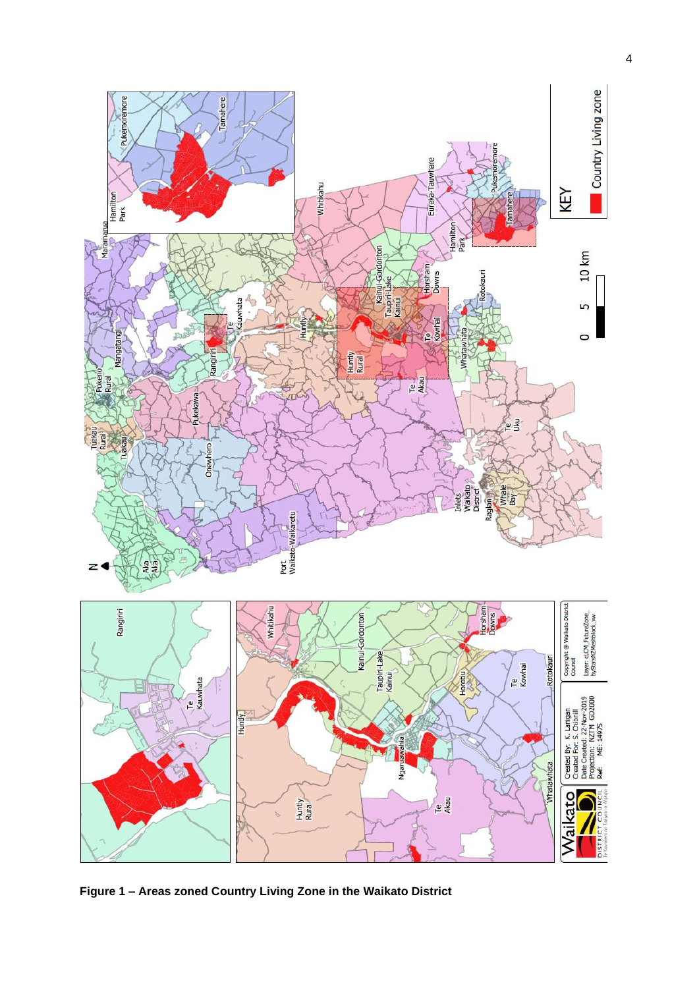

**Figure 1 – Areas zoned Country Living Zone in the Waikato District**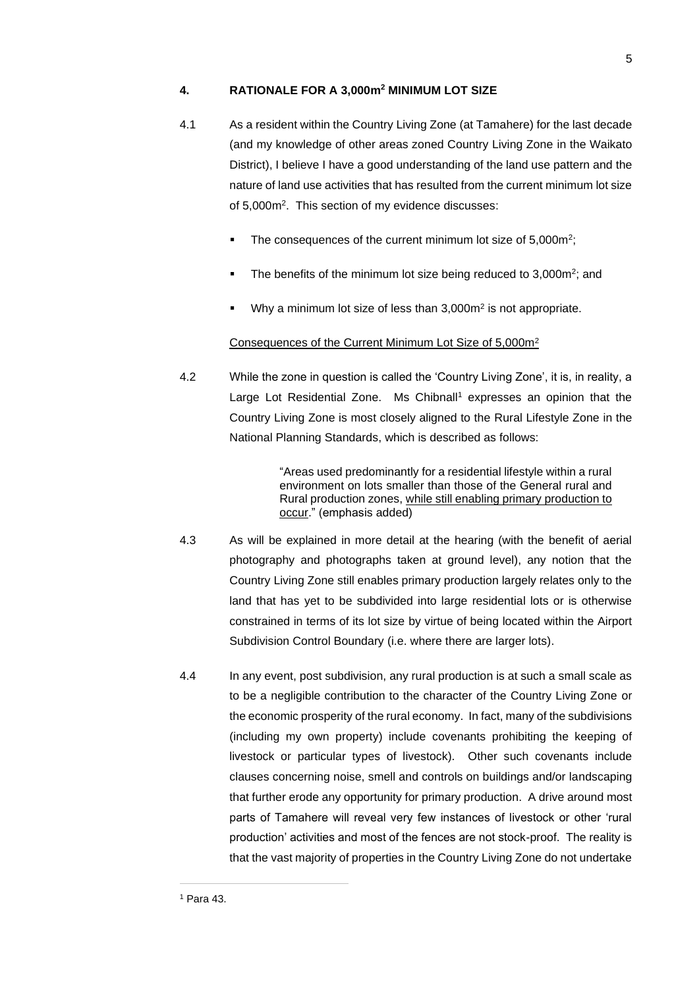## **4. RATIONALE FOR A 3,000m<sup>2</sup> MINIMUM LOT SIZE**

- 4.1 As a resident within the Country Living Zone (at Tamahere) for the last decade (and my knowledge of other areas zoned Country Living Zone in the Waikato District), I believe I have a good understanding of the land use pattern and the nature of land use activities that has resulted from the current minimum lot size of 5,000m<sup>2</sup> . This section of my evidence discusses:
	- $\blacksquare$  The consequences of the current minimum lot size of 5,000 $m^2$ ;
	- $\blacksquare$  The benefits of the minimum lot size being reduced to 3,000m<sup>2</sup>; and
	- Why a minimum lot size of less than 3,000m<sup>2</sup> is not appropriate.

## Consequences of the Current Minimum Lot Size of 5,000m<sup>2</sup>

4.2 While the zone in question is called the 'Country Living Zone', it is, in reality, a Large Lot Residential Zone. Ms Chibnall<sup>1</sup> expresses an opinion that the Country Living Zone is most closely aligned to the Rural Lifestyle Zone in the National Planning Standards, which is described as follows:

> "Areas used predominantly for a residential lifestyle within a rural environment on lots smaller than those of the General rural and Rural production zones, while still enabling primary production to occur." (emphasis added)

- 4.3 As will be explained in more detail at the hearing (with the benefit of aerial photography and photographs taken at ground level), any notion that the Country Living Zone still enables primary production largely relates only to the land that has yet to be subdivided into large residential lots or is otherwise constrained in terms of its lot size by virtue of being located within the Airport Subdivision Control Boundary (i.e. where there are larger lots).
- 4.4 In any event, post subdivision, any rural production is at such a small scale as to be a negligible contribution to the character of the Country Living Zone or the economic prosperity of the rural economy. In fact, many of the subdivisions (including my own property) include covenants prohibiting the keeping of livestock or particular types of livestock). Other such covenants include clauses concerning noise, smell and controls on buildings and/or landscaping that further erode any opportunity for primary production. A drive around most parts of Tamahere will reveal very few instances of livestock or other 'rural production' activities and most of the fences are not stock-proof. The reality is that the vast majority of properties in the Country Living Zone do not undertake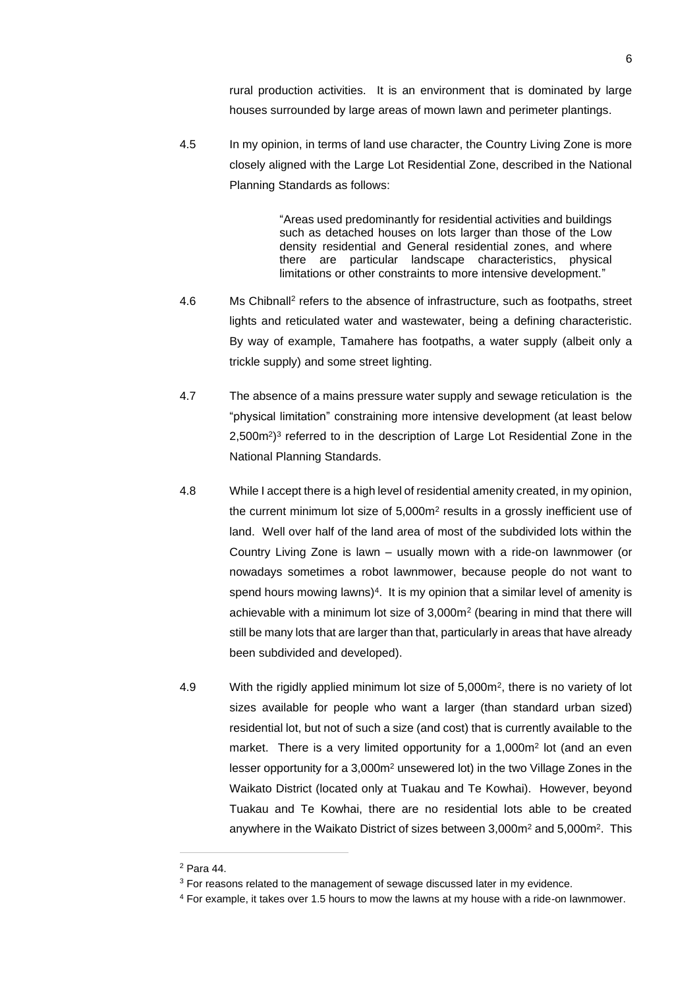rural production activities. It is an environment that is dominated by large houses surrounded by large areas of mown lawn and perimeter plantings.

4.5 In my opinion, in terms of land use character, the Country Living Zone is more closely aligned with the Large Lot Residential Zone, described in the National Planning Standards as follows:

> "Areas used predominantly for residential activities and buildings such as detached houses on lots larger than those of the Low density residential and General residential zones, and where there are particular landscape characteristics, physical limitations or other constraints to more intensive development."

- 4.6 Ms Chibnall<sup>2</sup> refers to the absence of infrastructure, such as footpaths, street lights and reticulated water and wastewater, being a defining characteristic. By way of example, Tamahere has footpaths, a water supply (albeit only a trickle supply) and some street lighting.
- 4.7 The absence of a mains pressure water supply and sewage reticulation is the "physical limitation" constraining more intensive development (at least below 2,500m<sup>2</sup>)<sup>3</sup> referred to in the description of Large Lot Residential Zone in the National Planning Standards.
- 4.8 While I accept there is a high level of residential amenity created, in my opinion, the current minimum lot size of  $5,000m^2$  results in a grossly inefficient use of land. Well over half of the land area of most of the subdivided lots within the Country Living Zone is lawn – usually mown with a ride-on lawnmower (or nowadays sometimes a robot lawnmower, because people do not want to spend hours mowing lawns)<sup>4</sup>. It is my opinion that a similar level of amenity is achievable with a minimum lot size of 3,000m<sup>2</sup> (bearing in mind that there will still be many lots that are larger than that, particularly in areas that have already been subdivided and developed).
- 4.9 With the rigidly applied minimum lot size of 5,000m<sup>2</sup>, there is no variety of lot sizes available for people who want a larger (than standard urban sized) residential lot, but not of such a size (and cost) that is currently available to the market. There is a very limited opportunity for a 1,000m<sup>2</sup> lot (and an even lesser opportunity for a 3,000m<sup>2</sup> unsewered lot) in the two Village Zones in the Waikato District (located only at Tuakau and Te Kowhai). However, beyond Tuakau and Te Kowhai, there are no residential lots able to be created anywhere in the Waikato District of sizes between 3,000m<sup>2</sup> and 5,000m<sup>2</sup>. This

<sup>2</sup> Para 44.

<sup>&</sup>lt;sup>3</sup> For reasons related to the management of sewage discussed later in my evidence.

<sup>4</sup> For example, it takes over 1.5 hours to mow the lawns at my house with a ride-on lawnmower.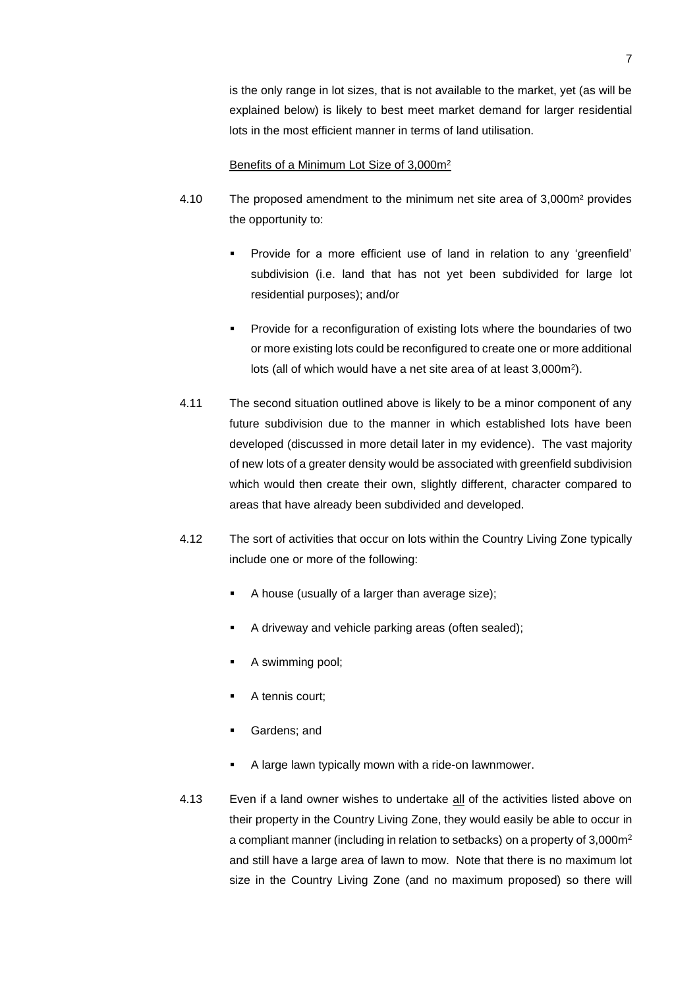is the only range in lot sizes, that is not available to the market, yet (as will be explained below) is likely to best meet market demand for larger residential lots in the most efficient manner in terms of land utilisation.

### Benefits of a Minimum Lot Size of 3,000m<sup>2</sup>

- 4.10 The proposed amendment to the minimum net site area of 3,000m² provides the opportunity to:
	- Provide for a more efficient use of land in relation to any 'greenfield' subdivision (i.e. land that has not yet been subdivided for large lot residential purposes); and/or
	- Provide for a reconfiguration of existing lots where the boundaries of two or more existing lots could be reconfigured to create one or more additional lots (all of which would have a net site area of at least 3,000m<sup>2</sup>).
- 4.11 The second situation outlined above is likely to be a minor component of any future subdivision due to the manner in which established lots have been developed (discussed in more detail later in my evidence). The vast majority of new lots of a greater density would be associated with greenfield subdivision which would then create their own, slightly different, character compared to areas that have already been subdivided and developed.
- 4.12 The sort of activities that occur on lots within the Country Living Zone typically include one or more of the following:
	- A house (usually of a larger than average size);
	- A driveway and vehicle parking areas (often sealed);
	- A swimming pool;
	- A tennis court;
	- Gardens; and
	- A large lawn typically mown with a ride-on lawnmower.
- 4.13 Even if a land owner wishes to undertake all of the activities listed above on their property in the Country Living Zone, they would easily be able to occur in a compliant manner (including in relation to setbacks) on a property of 3,000m<sup>2</sup> and still have a large area of lawn to mow. Note that there is no maximum lot size in the Country Living Zone (and no maximum proposed) so there will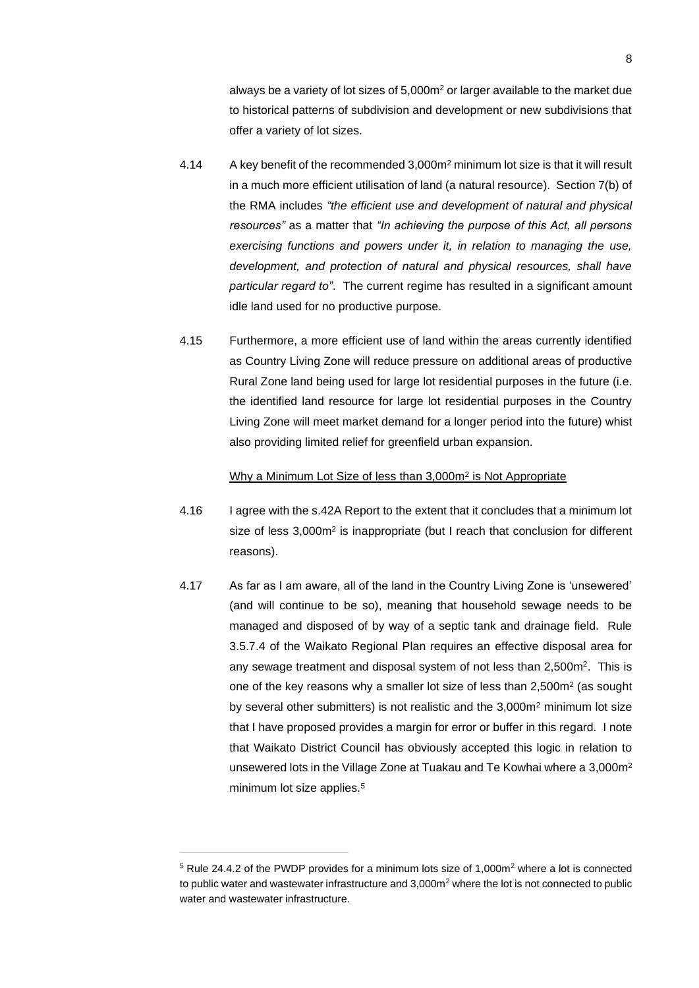always be a variety of lot sizes of 5,000m<sup>2</sup> or larger available to the market due to historical patterns of subdivision and development or new subdivisions that offer a variety of lot sizes.

- 4.14 A key benefit of the recommended 3,000m<sup>2</sup> minimum lot size is that it will result in a much more efficient utilisation of land (a natural resource). Section 7(b) of the RMA includes *"the efficient use and development of natural and physical resources"* as a matter that *"In achieving the purpose of this Act, all persons exercising functions and powers under it, in relation to managing the use, development, and protection of natural and physical resources, shall have particular regard to"*. The current regime has resulted in a significant amount idle land used for no productive purpose.
- 4.15 Furthermore, a more efficient use of land within the areas currently identified as Country Living Zone will reduce pressure on additional areas of productive Rural Zone land being used for large lot residential purposes in the future (i.e. the identified land resource for large lot residential purposes in the Country Living Zone will meet market demand for a longer period into the future) whist also providing limited relief for greenfield urban expansion.

### Why a Minimum Lot Size of less than 3,000m<sup>2</sup> is Not Appropriate

- 4.16 I agree with the s.42A Report to the extent that it concludes that a minimum lot size of less 3,000m<sup>2</sup> is inappropriate (but I reach that conclusion for different reasons).
- 4.17 As far as I am aware, all of the land in the Country Living Zone is 'unsewered' (and will continue to be so), meaning that household sewage needs to be managed and disposed of by way of a septic tank and drainage field. Rule 3.5.7.4 of the Waikato Regional Plan requires an effective disposal area for any sewage treatment and disposal system of not less than 2,500m<sup>2</sup>. This is one of the key reasons why a smaller lot size of less than  $2,500m^2$  (as sought by several other submitters) is not realistic and the 3,000m<sup>2</sup> minimum lot size that I have proposed provides a margin for error or buffer in this regard. I note that Waikato District Council has obviously accepted this logic in relation to unsewered lots in the Village Zone at Tuakau and Te Kowhai where a 3,000m<sup>2</sup> minimum lot size applies.<sup>5</sup>

 $5$  Rule 24.4.2 of the PWDP provides for a minimum lots size of 1,000 $m<sup>2</sup>$  where a lot is connected to public water and wastewater infrastructure and  $3,000m<sup>2</sup>$  where the lot is not connected to public water and wastewater infrastructure.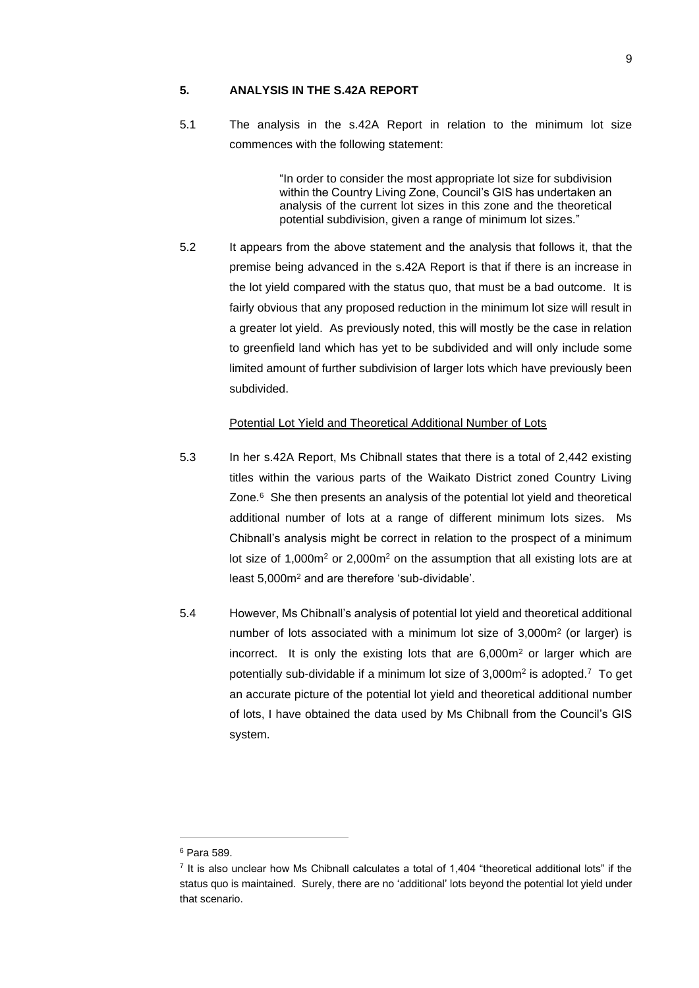### **5. ANALYSIS IN THE S.42A REPORT**

5.1 The analysis in the s.42A Report in relation to the minimum lot size commences with the following statement:

> "In order to consider the most appropriate lot size for subdivision within the Country Living Zone, Council's GIS has undertaken an analysis of the current lot sizes in this zone and the theoretical potential subdivision, given a range of minimum lot sizes."

5.2 It appears from the above statement and the analysis that follows it, that the premise being advanced in the s.42A Report is that if there is an increase in the lot yield compared with the status quo, that must be a bad outcome. It is fairly obvious that any proposed reduction in the minimum lot size will result in a greater lot yield. As previously noted, this will mostly be the case in relation to greenfield land which has yet to be subdivided and will only include some limited amount of further subdivision of larger lots which have previously been subdivided.

## Potential Lot Yield and Theoretical Additional Number of Lots

- 5.3 In her s.42A Report, Ms Chibnall states that there is a total of 2,442 existing titles within the various parts of the Waikato District zoned Country Living Zone.<sup>6</sup> She then presents an analysis of the potential lot yield and theoretical additional number of lots at a range of different minimum lots sizes. Ms Chibnall's analysis might be correct in relation to the prospect of a minimum lot size of 1,000m<sup>2</sup> or 2,000m<sup>2</sup> on the assumption that all existing lots are at least 5,000m<sup>2</sup> and are therefore 'sub-dividable'.
- 5.4 However, Ms Chibnall's analysis of potential lot yield and theoretical additional number of lots associated with a minimum lot size of 3,000m<sup>2</sup> (or larger) is incorrect. It is only the existing lots that are 6,000m<sup>2</sup> or larger which are potentially sub-dividable if a minimum lot size of 3,000m<sup>2</sup> is adopted.<sup>7</sup> To get an accurate picture of the potential lot yield and theoretical additional number of lots, I have obtained the data used by Ms Chibnall from the Council's GIS system.

<sup>6</sup> Para 589.

<sup>&</sup>lt;sup>7</sup> It is also unclear how Ms Chibnall calculates a total of 1,404 "theoretical additional lots" if the status quo is maintained. Surely, there are no 'additional' lots beyond the potential lot yield under that scenario.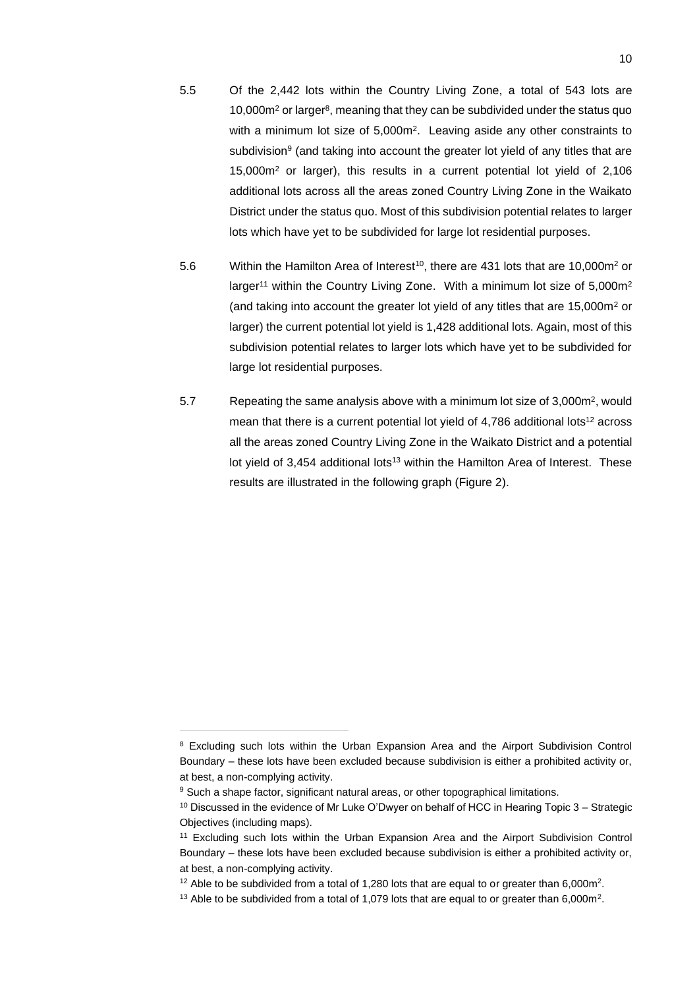- 5.5 Of the 2,442 lots within the Country Living Zone, a total of 543 lots are 10,000m<sup>2</sup> or larger<sup>8</sup> , meaning that they can be subdivided under the status quo with a minimum lot size of 5,000m<sup>2</sup>. Leaving aside any other constraints to subdivision<sup>9</sup> (and taking into account the greater lot yield of any titles that are 15,000m<sup>2</sup> or larger), this results in a current potential lot yield of 2,106 additional lots across all the areas zoned Country Living Zone in the Waikato District under the status quo. Most of this subdivision potential relates to larger lots which have yet to be subdivided for large lot residential purposes.
- 5.6 Within the Hamilton Area of Interest<sup>10</sup>, there are 431 lots that are 10,000m<sup>2</sup> or larger<sup>11</sup> within the Country Living Zone. With a minimum lot size of 5,000m<sup>2</sup> (and taking into account the greater lot yield of any titles that are 15,000m<sup>2</sup> or larger) the current potential lot yield is 1,428 additional lots. Again, most of this subdivision potential relates to larger lots which have yet to be subdivided for large lot residential purposes.
- 5.7 Repeating the same analysis above with a minimum lot size of 3,000m<sup>2</sup>, would mean that there is a current potential lot yield of  $4,786$  additional lots<sup>12</sup> across all the areas zoned Country Living Zone in the Waikato District and a potential lot yield of 3,454 additional lots<sup>13</sup> within the Hamilton Area of Interest. These results are illustrated in the following graph (Figure 2).

<sup>&</sup>lt;sup>8</sup> Excluding such lots within the Urban Expansion Area and the Airport Subdivision Control Boundary – these lots have been excluded because subdivision is either a prohibited activity or, at best, a non-complying activity.

<sup>&</sup>lt;sup>9</sup> Such a shape factor, significant natural areas, or other topographical limitations.

 $10$  Discussed in the evidence of Mr Luke O'Dwyer on behalf of HCC in Hearing Topic  $3 -$  Strategic Objectives (including maps).

<sup>&</sup>lt;sup>11</sup> Excluding such lots within the Urban Expansion Area and the Airport Subdivision Control Boundary – these lots have been excluded because subdivision is either a prohibited activity or, at best, a non-complying activity.

<sup>&</sup>lt;sup>12</sup> Able to be subdivided from a total of 1,280 lots that are equal to or greater than 6,000m<sup>2</sup>.

<sup>&</sup>lt;sup>13</sup> Able to be subdivided from a total of 1,079 lots that are equal to or greater than 6,000m<sup>2</sup>.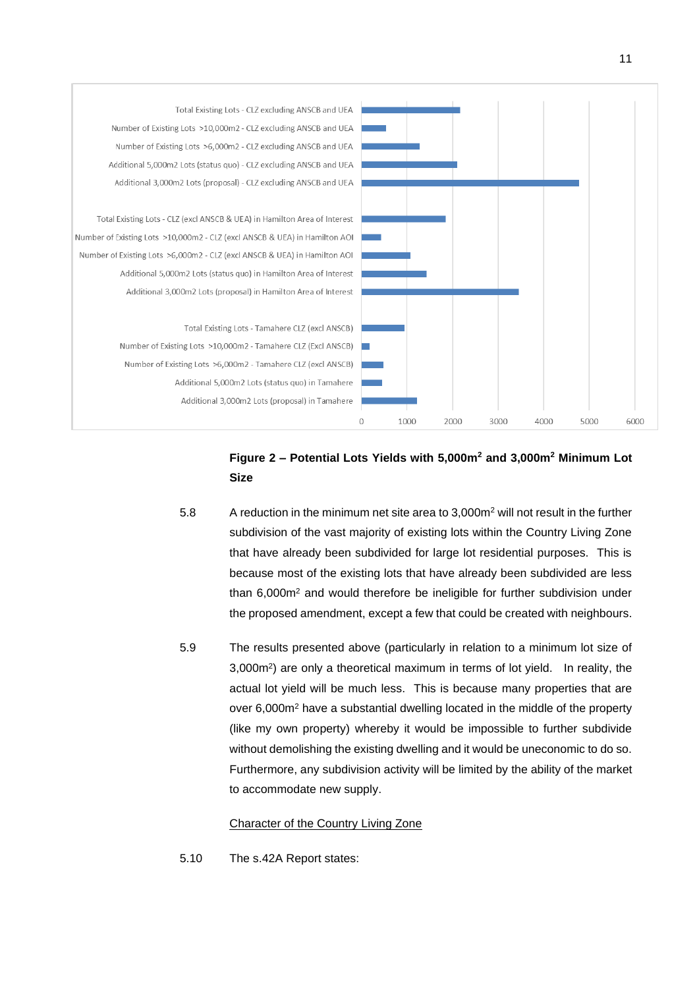

# **Figure 2 – Potential Lots Yields with 5,000m<sup>2</sup> and 3,000m<sup>2</sup> Minimum Lot Size**

- 5.8 A reduction in the minimum net site area to 3,000m<sup>2</sup> will not result in the further subdivision of the vast majority of existing lots within the Country Living Zone that have already been subdivided for large lot residential purposes. This is because most of the existing lots that have already been subdivided are less than 6,000m<sup>2</sup> and would therefore be ineligible for further subdivision under the proposed amendment, except a few that could be created with neighbours.
- 5.9 The results presented above (particularly in relation to a minimum lot size of 3,000m<sup>2</sup> ) are only a theoretical maximum in terms of lot yield. In reality, the actual lot yield will be much less. This is because many properties that are over 6,000m<sup>2</sup> have a substantial dwelling located in the middle of the property (like my own property) whereby it would be impossible to further subdivide without demolishing the existing dwelling and it would be uneconomic to do so. Furthermore, any subdivision activity will be limited by the ability of the market to accommodate new supply.

## Character of the Country Living Zone

5.10 The s.42A Report states: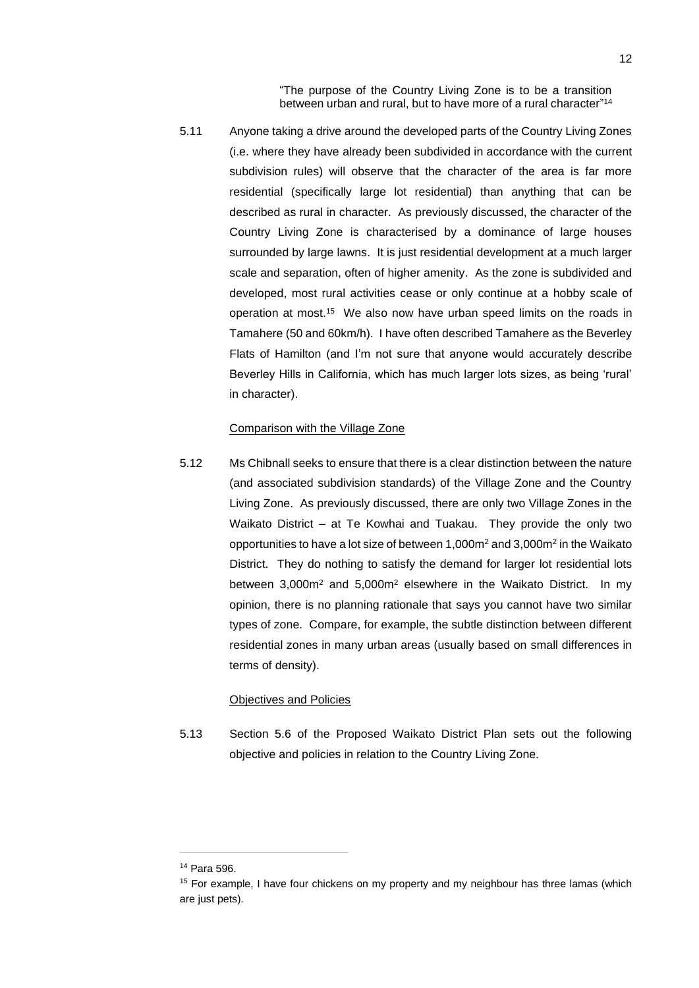"The purpose of the Country Living Zone is to be a transition between urban and rural, but to have more of a rural character" 14

5.11 Anyone taking a drive around the developed parts of the Country Living Zones (i.e. where they have already been subdivided in accordance with the current subdivision rules) will observe that the character of the area is far more residential (specifically large lot residential) than anything that can be described as rural in character. As previously discussed, the character of the Country Living Zone is characterised by a dominance of large houses surrounded by large lawns. It is just residential development at a much larger scale and separation, often of higher amenity. As the zone is subdivided and developed, most rural activities cease or only continue at a hobby scale of operation at most. 15 We also now have urban speed limits on the roads in Tamahere (50 and 60km/h). I have often described Tamahere as the Beverley Flats of Hamilton (and I'm not sure that anyone would accurately describe Beverley Hills in California, which has much larger lots sizes, as being 'rural' in character).

### Comparison with the Village Zone

5.12 Ms Chibnall seeks to ensure that there is a clear distinction between the nature (and associated subdivision standards) of the Village Zone and the Country Living Zone. As previously discussed, there are only two Village Zones in the Waikato District – at Te Kowhai and Tuakau. They provide the only two opportunities to have a lot size of between 1,000m<sup>2</sup> and 3,000m<sup>2</sup> in the Waikato District. They do nothing to satisfy the demand for larger lot residential lots between 3,000m<sup>2</sup> and 5,000m<sup>2</sup> elsewhere in the Waikato District. In my opinion, there is no planning rationale that says you cannot have two similar types of zone. Compare, for example, the subtle distinction between different residential zones in many urban areas (usually based on small differences in terms of density).

### Objectives and Policies

5.13 Section 5.6 of the Proposed Waikato District Plan sets out the following objective and policies in relation to the Country Living Zone.

<sup>14</sup> Para 596.

<sup>&</sup>lt;sup>15</sup> For example, I have four chickens on my property and my neighbour has three lamas (which are just pets).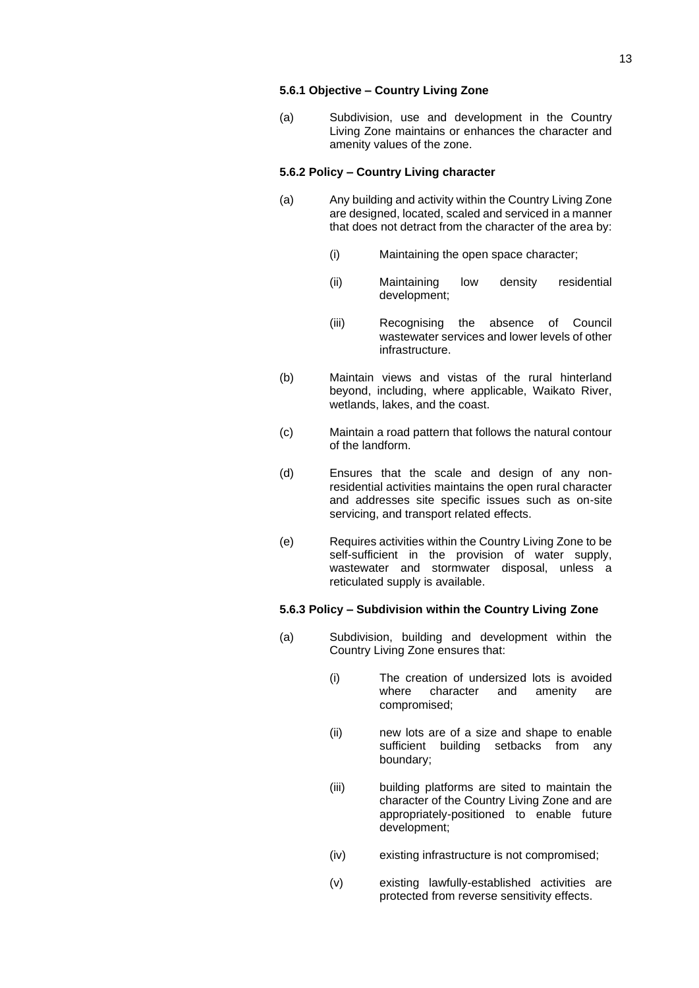### **5.6.1 Objective – Country Living Zone**

(a) Subdivision, use and development in the Country Living Zone maintains or enhances the character and amenity values of the zone.

### **5.6.2 Policy – Country Living character**

- (a) Any building and activity within the Country Living Zone are designed, located, scaled and serviced in a manner that does not detract from the character of the area by:
	- (i) Maintaining the open space character;
	- (ii) Maintaining low density residential development;
	- (iii) Recognising the absence of Council wastewater services and lower levels of other infrastructure.
- (b) Maintain views and vistas of the rural hinterland beyond, including, where applicable, Waikato River, wetlands, lakes, and the coast.
- (c) Maintain a road pattern that follows the natural contour of the landform.
- (d) Ensures that the scale and design of any nonresidential activities maintains the open rural character and addresses site specific issues such as on-site servicing, and transport related effects.
- (e) Requires activities within the Country Living Zone to be self-sufficient in the provision of water supply, wastewater and stormwater disposal, unless a reticulated supply is available.

### **5.6.3 Policy – Subdivision within the Country Living Zone**

- (a) Subdivision, building and development within the Country Living Zone ensures that:
	- (i) The creation of undersized lots is avoided where character and amenity are compromised;
	- (ii) new lots are of a size and shape to enable sufficient building setbacks from any boundary;
	- (iii) building platforms are sited to maintain the character of the Country Living Zone and are appropriately-positioned to enable future development;
	- (iv) existing infrastructure is not compromised;
	- (v) existing lawfully-established activities are protected from reverse sensitivity effects.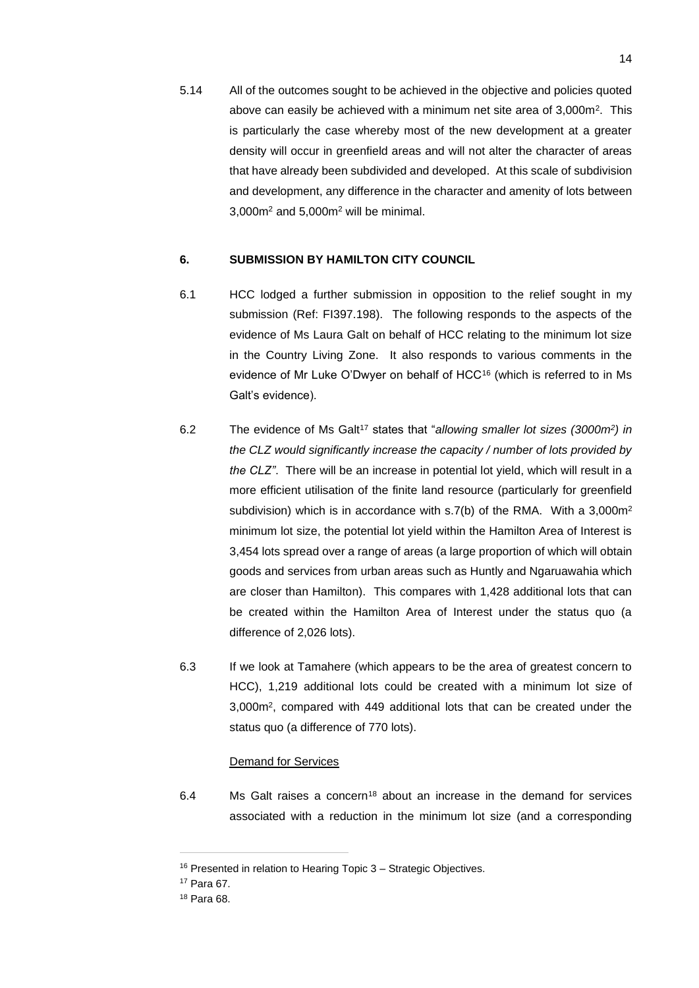5.14 All of the outcomes sought to be achieved in the objective and policies quoted above can easily be achieved with a minimum net site area of 3,000m<sup>2</sup> . This is particularly the case whereby most of the new development at a greater density will occur in greenfield areas and will not alter the character of areas that have already been subdivided and developed. At this scale of subdivision and development, any difference in the character and amenity of lots between 3,000m<sup>2</sup> and 5,000m<sup>2</sup> will be minimal.

### **6. SUBMISSION BY HAMILTON CITY COUNCIL**

- 6.1 HCC lodged a further submission in opposition to the relief sought in my submission (Ref: FI397.198). The following responds to the aspects of the evidence of Ms Laura Galt on behalf of HCC relating to the minimum lot size in the Country Living Zone. It also responds to various comments in the evidence of Mr Luke O'Dwyer on behalf of HCC<sup>16</sup> (which is referred to in Ms Galt's evidence).
- 6.2 The evidence of Ms Galt<sup>17</sup> states that "allowing smaller lot sizes (3000m<sup>2</sup>) in *the CLZ would significantly increase the capacity / number of lots provided by the CLZ"*. There will be an increase in potential lot yield, which will result in a more efficient utilisation of the finite land resource (particularly for greenfield subdivision) which is in accordance with s.7(b) of the RMA. With a 3,000m<sup>2</sup> minimum lot size, the potential lot yield within the Hamilton Area of Interest is 3,454 lots spread over a range of areas (a large proportion of which will obtain goods and services from urban areas such as Huntly and Ngaruawahia which are closer than Hamilton). This compares with 1,428 additional lots that can be created within the Hamilton Area of Interest under the status quo (a difference of 2,026 lots).
- 6.3 If we look at Tamahere (which appears to be the area of greatest concern to HCC), 1,219 additional lots could be created with a minimum lot size of 3,000m<sup>2</sup> , compared with 449 additional lots that can be created under the status quo (a difference of 770 lots).

### Demand for Services

6.4 Ms Galt raises a concern<sup>18</sup> about an increase in the demand for services associated with a reduction in the minimum lot size (and a corresponding

<sup>16</sup> Presented in relation to Hearing Topic 3 – Strategic Objectives.

<sup>17</sup> Para 67.

<sup>18</sup> Para 68.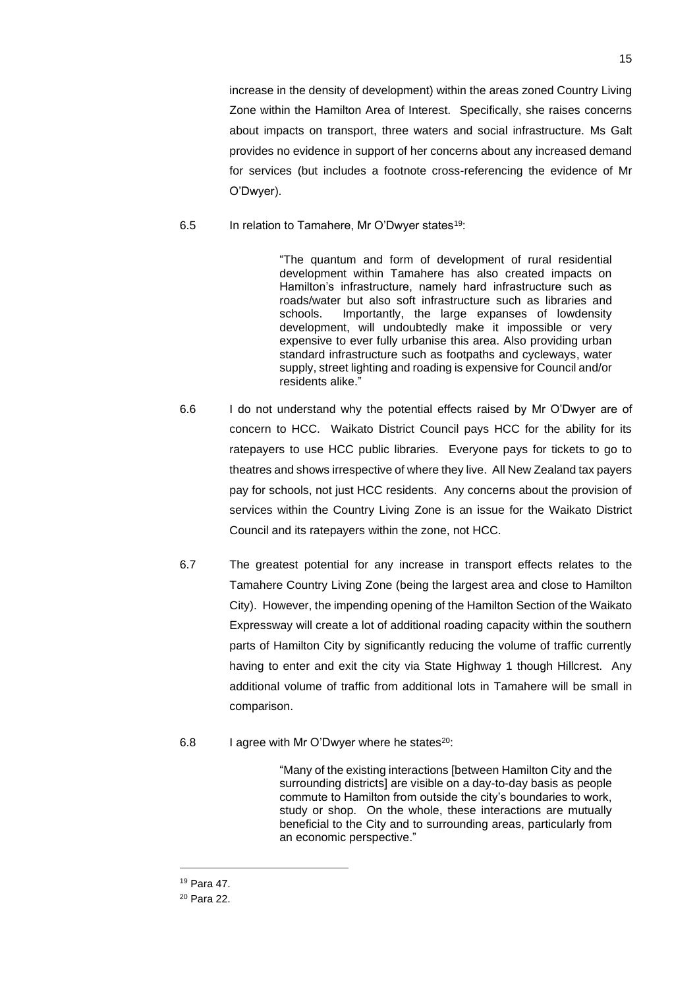increase in the density of development) within the areas zoned Country Living Zone within the Hamilton Area of Interest. Specifically, she raises concerns about impacts on transport, three waters and social infrastructure. Ms Galt provides no evidence in support of her concerns about any increased demand for services (but includes a footnote cross-referencing the evidence of Mr O'Dwyer).

## 6.5 In relation to Tamahere, Mr O'Dwyer states<sup>19</sup>:

"The quantum and form of development of rural residential development within Tamahere has also created impacts on Hamilton's infrastructure, namely hard infrastructure such as roads/water but also soft infrastructure such as libraries and schools. Importantly, the large expanses of lowdensity development, will undoubtedly make it impossible or very expensive to ever fully urbanise this area. Also providing urban standard infrastructure such as footpaths and cycleways, water supply, street lighting and roading is expensive for Council and/or residents alike."

- 6.6 I do not understand why the potential effects raised by Mr O'Dwyer are of concern to HCC. Waikato District Council pays HCC for the ability for its ratepayers to use HCC public libraries. Everyone pays for tickets to go to theatres and shows irrespective of where they live. All New Zealand tax payers pay for schools, not just HCC residents. Any concerns about the provision of services within the Country Living Zone is an issue for the Waikato District Council and its ratepayers within the zone, not HCC.
- 6.7 The greatest potential for any increase in transport effects relates to the Tamahere Country Living Zone (being the largest area and close to Hamilton City). However, the impending opening of the Hamilton Section of the Waikato Expressway will create a lot of additional roading capacity within the southern parts of Hamilton City by significantly reducing the volume of traffic currently having to enter and exit the city via State Highway 1 though Hillcrest. Any additional volume of traffic from additional lots in Tamahere will be small in comparison.
- 6.8 I agree with Mr O'Dwyer where he states<sup>20</sup>:

"Many of the existing interactions [between Hamilton City and the surrounding districts] are visible on a day-to-day basis as people commute to Hamilton from outside the city's boundaries to work, study or shop. On the whole, these interactions are mutually beneficial to the City and to surrounding areas, particularly from an economic perspective."

<sup>19</sup> Para 47.

<sup>20</sup> Para 22.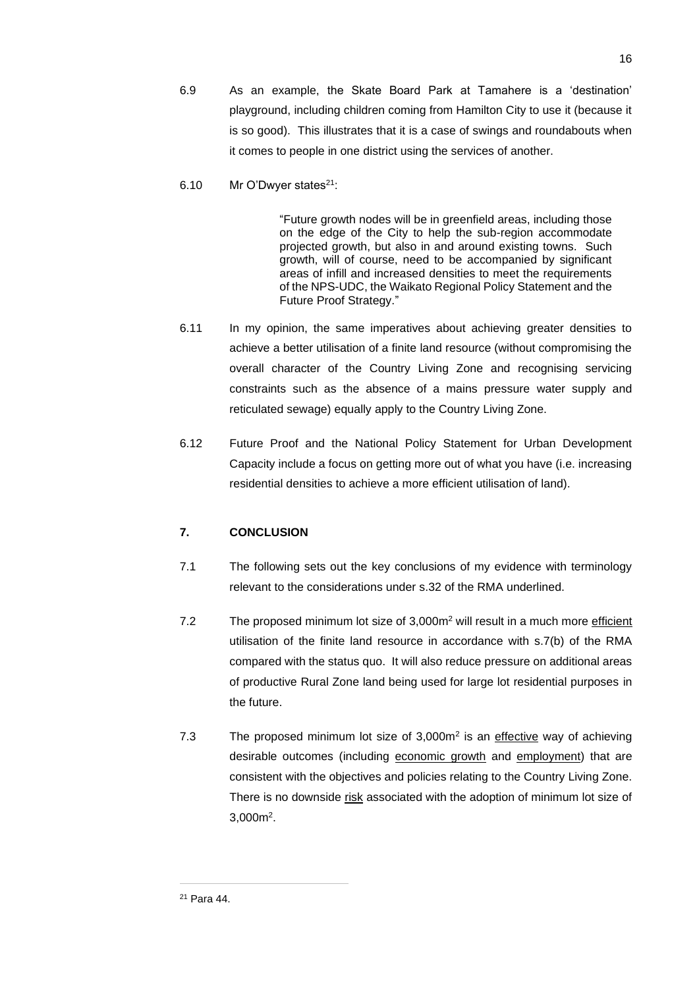- 6.9 As an example, the Skate Board Park at Tamahere is a 'destination' playground, including children coming from Hamilton City to use it (because it is so good). This illustrates that it is a case of swings and roundabouts when it comes to people in one district using the services of another.
- 6.10 Mr O'Dwyer states<sup>21</sup>:

"Future growth nodes will be in greenfield areas, including those on the edge of the City to help the sub-region accommodate projected growth, but also in and around existing towns. Such growth, will of course, need to be accompanied by significant areas of infill and increased densities to meet the requirements of the NPS-UDC, the Waikato Regional Policy Statement and the Future Proof Strategy."

- 6.11 In my opinion, the same imperatives about achieving greater densities to achieve a better utilisation of a finite land resource (without compromising the overall character of the Country Living Zone and recognising servicing constraints such as the absence of a mains pressure water supply and reticulated sewage) equally apply to the Country Living Zone.
- 6.12 Future Proof and the National Policy Statement for Urban Development Capacity include a focus on getting more out of what you have (i.e. increasing residential densities to achieve a more efficient utilisation of land).

# **7. CONCLUSION**

- 7.1 The following sets out the key conclusions of my evidence with terminology relevant to the considerations under s.32 of the RMA underlined.
- 7.2 The proposed minimum lot size of 3,000m<sup>2</sup> will result in a much more efficient utilisation of the finite land resource in accordance with s.7(b) of the RMA compared with the status quo. It will also reduce pressure on additional areas of productive Rural Zone land being used for large lot residential purposes in the future.
- 7.3 The proposed minimum lot size of 3,000m<sup>2</sup> is an effective way of achieving desirable outcomes (including economic growth and employment) that are consistent with the objectives and policies relating to the Country Living Zone. There is no downside risk associated with the adoption of minimum lot size of 3,000m<sup>2</sup> .